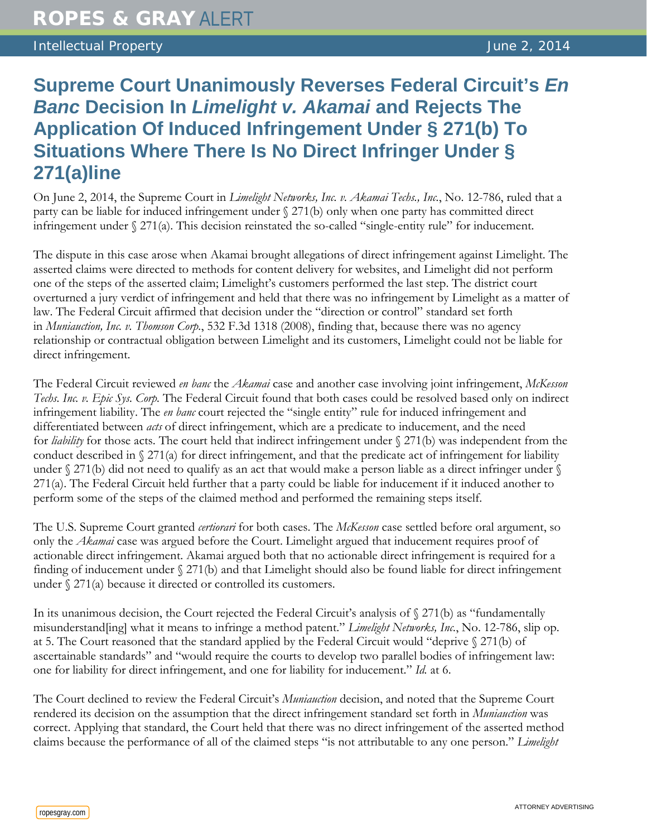## Intellectual Property June 2, 2014

# **Supreme Court Unanimously Reverses Federal Circuit's** *En Banc* **Decision In** *Limelight v. Akamai* **and Rejects The Application Of Induced Infringement Under § 271(b) To Situations Where There Is No Direct Infringer Under § 271(a)line**

On June 2, 2014, the Supreme Court in *Limelight Networks, Inc. v. Akamai Techs., Inc.*, No. 12-786, ruled that a party can be liable for induced infringement under § 271(b) only when one party has committed direct infringement under § 271(a). This decision reinstated the so-called "single-entity rule" for inducement.

The dispute in this case arose when Akamai brought allegations of direct infringement against Limelight. The asserted claims were directed to methods for content delivery for websites, and Limelight did not perform one of the steps of the asserted claim; Limelight's customers performed the last step. The district court overturned a jury verdict of infringement and held that there was no infringement by Limelight as a matter of law. The Federal Circuit affirmed that decision under the "direction or control" standard set forth in *Muniauction, Inc. v. Thomson Corp.*, 532 F.3d 1318 (2008), finding that, because there was no agency relationship or contractual obligation between Limelight and its customers, Limelight could not be liable for direct infringement.

The Federal Circuit reviewed *en banc* the *Akamai* case and another case involving joint infringement, *McKesson Techs. Inc. v. Epic Sys. Corp.* The Federal Circuit found that both cases could be resolved based only on indirect infringement liability. The *en banc* court rejected the "single entity" rule for induced infringement and differentiated between *acts* of direct infringement, which are a predicate to inducement, and the need for *liability* for those acts. The court held that indirect infringement under § 271(b) was independent from the conduct described in  $\S 271(a)$  for direct infringement, and that the predicate act of infringement for liability under  $\S 271(b)$  did not need to qualify as an act that would make a person liable as a direct infringer under  $\S$ 271(a). The Federal Circuit held further that a party could be liable for inducement if it induced another to perform some of the steps of the claimed method and performed the remaining steps itself.

The U.S. Supreme Court granted *certiorari* for both cases. The *McKesson* case settled before oral argument, so only the *Akamai* case was argued before the Court. Limelight argued that inducement requires proof of actionable direct infringement. Akamai argued both that no actionable direct infringement is required for a finding of inducement under § 271(b) and that Limelight should also be found liable for direct infringement under § 271(a) because it directed or controlled its customers.

In its unanimous decision, the Court rejected the Federal Circuit's analysis of  $\frac{271}{b}$  as "fundamentally misunderstand[ing] what it means to infringe a method patent." *Limelight Networks, Inc.*, No. 12-786, slip op. at 5. The Court reasoned that the standard applied by the Federal Circuit would "deprive § 271(b) of ascertainable standards" and "would require the courts to develop two parallel bodies of infringement law: one for liability for direct infringement, and one for liability for inducement." *Id.* at 6.

The Court declined to review the Federal Circuit's *Muniauction* decision, and noted that the Supreme Court rendered its decision on the assumption that the direct infringement standard set forth in *Muniauction* was correct. Applying that standard, the Court held that there was no direct infringement of the asserted method claims because the performance of all of the claimed steps "is not attributable to any one person." *Limelight*